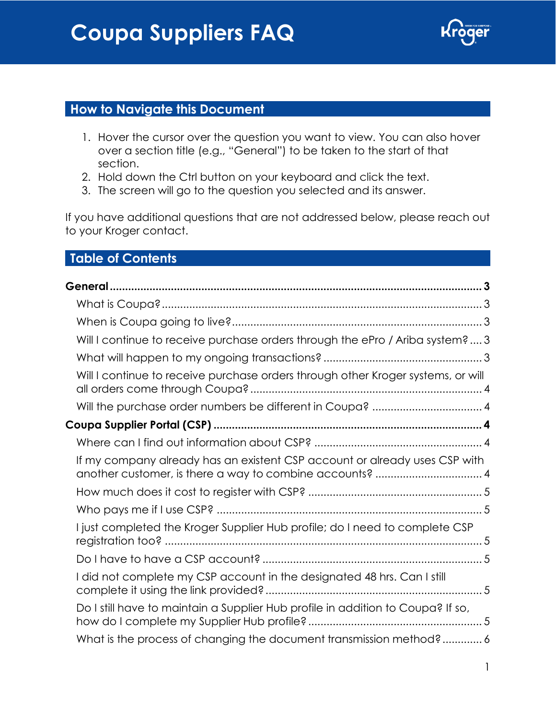

## **How to Navigate this Document**

- 1. Hover the cursor over the question you want to view. You can also hover over a section title (e.g., "General") to be taken to the start of that section.
- 2. Hold down the Ctrl button on your keyboard and click the text.
- 3. The screen will go to the question you selected and its answer.

If you have additional questions that are not addressed below, please reach out to your Kroger contact.

## **Table of Contents**

| Will I continue to receive purchase orders through the ePro / Ariba system?  3   |
|----------------------------------------------------------------------------------|
|                                                                                  |
| Will I continue to receive purchase orders through other Kroger systems, or will |
| Will the purchase order numbers be different in Coupa?  4                        |
|                                                                                  |
|                                                                                  |
| If my company already has an existent CSP account or already uses CSP with       |
|                                                                                  |
|                                                                                  |
| I just completed the Kroger Supplier Hub profile; do I need to complete CSP      |
|                                                                                  |
| I did not complete my CSP account in the designated 48 hrs. Can I still          |
| Do I still have to maintain a Supplier Hub profile in addition to Coupa? If so,  |
| What is the process of changing the document transmission method? 6              |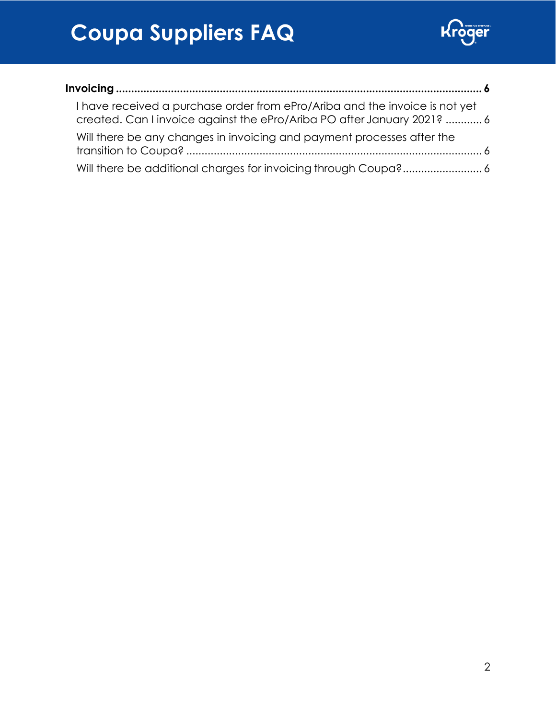

| I have received a purchase order from ePro/Ariba and the invoice is not yet<br>created. Can I invoice against the ePro/Ariba PO after January 2021?  6 |  |
|--------------------------------------------------------------------------------------------------------------------------------------------------------|--|
| Will there be any changes in invoicing and payment processes after the                                                                                 |  |
|                                                                                                                                                        |  |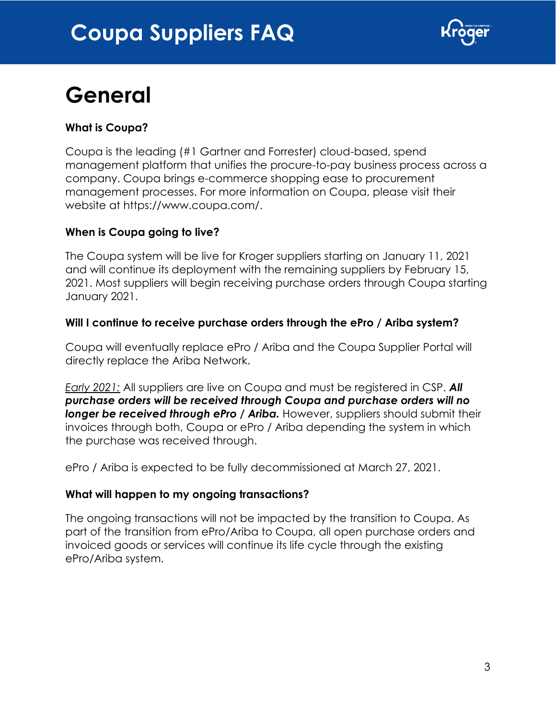

# <span id="page-2-0"></span>**General**

### <span id="page-2-1"></span>**What is Coupa?**

Coupa is the leading (#1 Gartner and Forrester) cloud-based, spend management platform that unifies the procure-to-pay business process across a company. Coupa brings e-commerce shopping ease to procurement management processes. For more information on Coupa, please visit their website at [https://www.coupa.com/.](https://www.coupa.com/)

#### <span id="page-2-2"></span>**When is Coupa going to live?**

The Coupa system will be live for Kroger suppliers starting on January 11, 2021 and will continue its deployment with the remaining suppliers by February 15, 2021. Most suppliers will begin receiving purchase orders through Coupa starting January 2021.

#### <span id="page-2-3"></span>**Will I continue to receive purchase orders through the ePro / Ariba system?**

Coupa will eventually replace ePro / Ariba and the Coupa Supplier Portal will directly replace the Ariba Network.

*Early 2021:* All suppliers are live on Coupa and must be registered in CSP. *All purchase orders will be received through Coupa and purchase orders will no*  **longer be received through ePro / Ariba.** However, suppliers should submit their invoices through both, Coupa or ePro / Ariba depending the system in which the purchase was received through.

ePro / Ariba is expected to be fully decommissioned at March 27, 2021.

#### <span id="page-2-4"></span>**What will happen to my ongoing transactions?**

The ongoing transactions will not be impacted by the transition to Coupa. As part of the transition from ePro/Ariba to Coupa, all open purchase orders and invoiced goods or services will continue its life cycle through the existing ePro/Ariba system.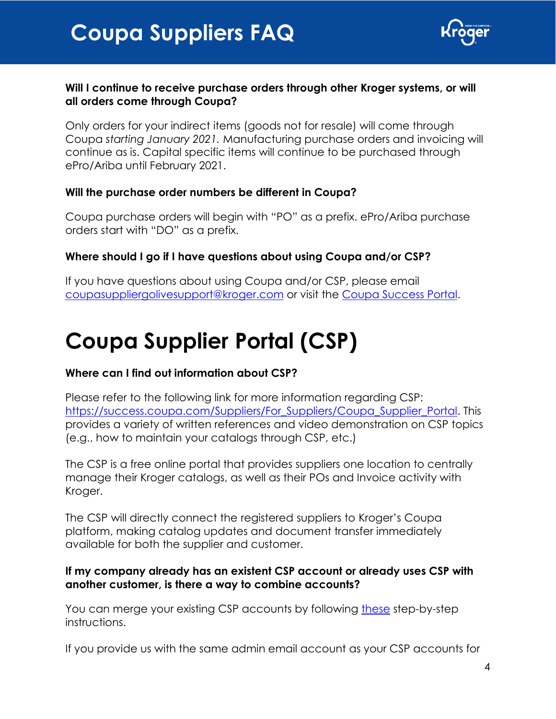

#### <span id="page-3-0"></span>**Will I continue to receive purchase orders through other Kroger systems, or will all orders come through Coupa?**

Only orders for your indirect items (goods not for resale) will come through Coupa *starting January 2021.* Manufacturing purchase orders and invoicing will continue as is. Capital specific items will continue to be purchased through ePro/Ariba until February 2021.

#### <span id="page-3-1"></span>**Will the purchase order numbers be different in Coupa?**

Coupa purchase orders will begin with "PO" as a prefix. ePro/Ariba purchase orders start with "DO" as a prefix.

### **Where should I go if I have questions about using Coupa and/or CSP?**

If you have questions about using Coupa and/or CSP, please email [coupasuppliergolivesupport@kroger.com](mailto:coupasuppliergolivesupport@kroger.com) or visit the [Coupa Success Portal.](https://success.coupa.com/Suppliers)

## <span id="page-3-2"></span>**Coupa Supplier Portal (CSP)**

#### <span id="page-3-3"></span>**Where can I find out information about CSP?**

Please refer to the following link for more information regarding CSP: [https://success.coupa.com/Suppliers/For\\_Suppliers/Coupa\\_Supplier\\_Portal.](https://success.coupa.com/Suppliers/For_Suppliers/Coupa_Supplier_Portal) This provides a variety of written references and video demonstration on CSP topics (e.g., how to maintain your catalogs through CSP, etc.)

The CSP is a free online portal that provides suppliers one location to centrally manage their Kroger catalogs, as well as their POs and Invoice activity with Kroger.

The CSP will directly connect the registered suppliers to Kroger's Coupa platform, making catalog updates and document transfer immediately available for both the supplier and customer.

#### <span id="page-3-4"></span>**If my company already has an existent CSP account or already uses CSP with another customer, is there a way to combine accounts?**

You can merge your existing CSP accounts by following [these](https://success.coupa.com/Suppliers/For_Suppliers/Coupa_Supplier_Portal/Administer_the_CSP/03_Manage_Merge_Requests) step-by-step instructions.

If you provide us with the same admin email account as your CSP accounts for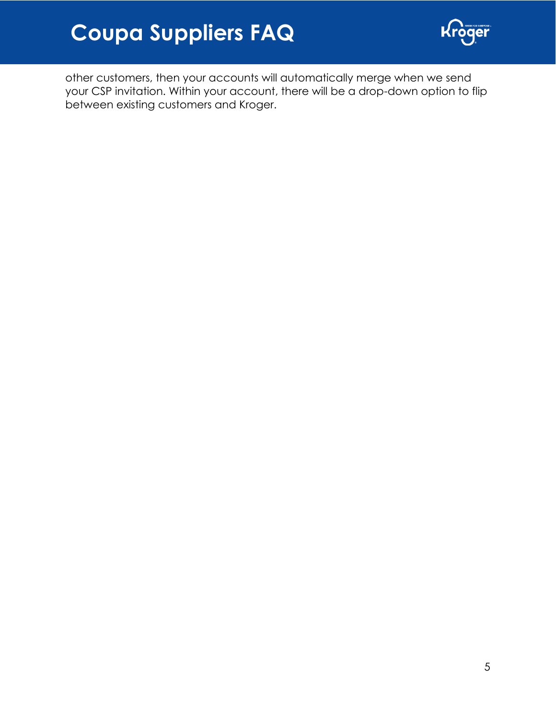

other customers, then your accounts will automatically merge when we send your CSP invitation. Within your account, there will be a drop-down option to flip between existing customers and Kroger.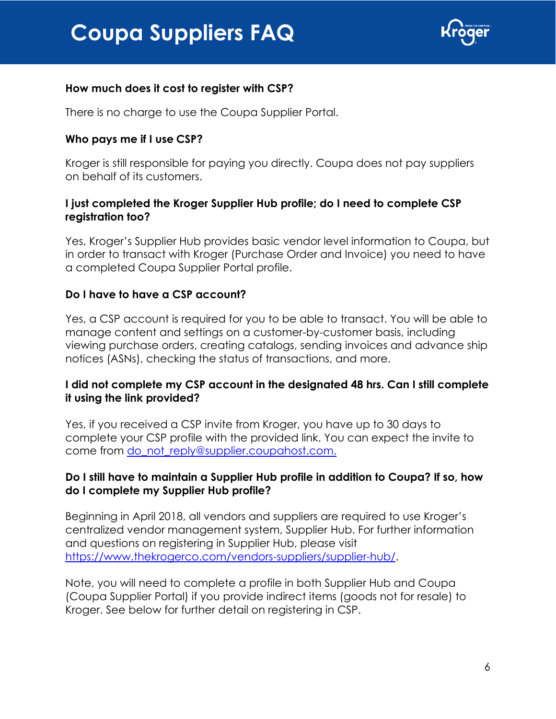

#### <span id="page-5-0"></span>**How much does it cost to register with CSP?**

There is no charge to use the Coupa Supplier Portal.

#### <span id="page-5-1"></span>**Who pays me if I use CSP?**

Kroger is still responsible for paying you directly. Coupa does not pay suppliers on behalf of its customers.

#### <span id="page-5-2"></span>**I just completed the Kroger Supplier Hub profile; do I need to complete CSP registration too?**

Yes, Kroger's Supplier Hub provides basic vendor level information to Coupa, but in order to transact with Kroger (Purchase Order and Invoice) you need to have a completed Coupa Supplier Portal profile.

#### <span id="page-5-3"></span>**Do I have to have a CSP account?**

Yes, a CSP account is required for you to be able to transact. You will be able to manage content and settings on a customer-by-customer basis, including viewing purchase orders, creating catalogs, sending invoices and advance ship notices (ASNs), checking the status of transactions, and more.

#### <span id="page-5-4"></span>**I did not complete my CSP account in the designated 48 hrs. Can I still complete it using the link provided?**

<span id="page-5-5"></span>Yes, if you received a CSP invite from Kroger, you have up to 30 days to complete your CSP profile with the provided link. You can expect the invite to come from [do\\_not\\_reply@supplier.coupahost.com.](mailto:do_not_reply@supplier.coupahost.com)

#### **Do I still have to maintain a Supplier Hub profile in addition to Coupa? If so, how do I complete my Supplier Hub profile?**

Beginning in April 2018, all vendors and suppliers are required to use Kroger's centralized vendor management system, Supplier Hub. For further information and questions on registering in Supplier Hub, please visit [https://www.thekrogerco.com/vendors-suppliers/supplier-hub/.](https://www.thekrogerco.com/vendors-suppliers/supplier-hub/)

Note, you will need to complete a profile in both Supplier Hub and Coupa (Coupa Supplier Portal) if you provide indirect items (goods not for resale) to Kroger. See below for further detail on registering in CSP.